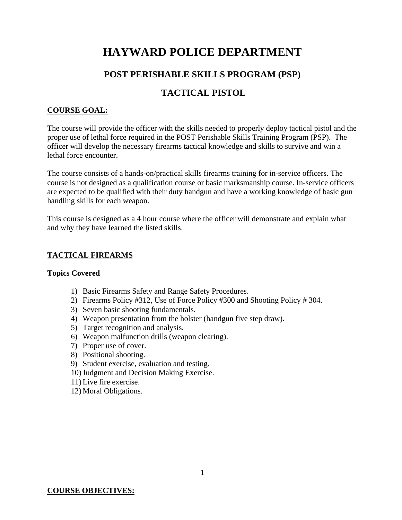# **HAYWARD POLICE DEPARTMENT**

## **POST PERISHABLE SKILLS PROGRAM (PSP)**

## **TACTICAL PISTOL**

### **COURSE GOAL:**

The course will provide the officer with the skills needed to properly deploy tactical pistol and the proper use of lethal force required in the POST Perishable Skills Training Program (PSP). The officer will develop the necessary firearms tactical knowledge and skills to survive and win a lethal force encounter.

The course consists of a hands-on/practical skills firearms training for in-service officers. The course is not designed as a qualification course or basic marksmanship course. In-service officers are expected to be qualified with their duty handgun and have a working knowledge of basic gun handling skills for each weapon.

This course is designed as a 4 hour course where the officer will demonstrate and explain what and why they have learned the listed skills.

### **TACTICAL FIREARMS**

### **Topics Covered**

- 1) Basic Firearms Safety and Range Safety Procedures.
- 2) Firearms Policy #312, Use of Force Policy #300 and Shooting Policy # 304.
- 3) Seven basic shooting fundamentals.
- 4) Weapon presentation from the holster (handgun five step draw).
- 5) Target recognition and analysis.
- 6) Weapon malfunction drills (weapon clearing).
- 7) Proper use of cover.
- 8) Positional shooting.
- 9) Student exercise, evaluation and testing.
- 10)Judgment and Decision Making Exercise.
- 11) Live fire exercise.
- 12) Moral Obligations.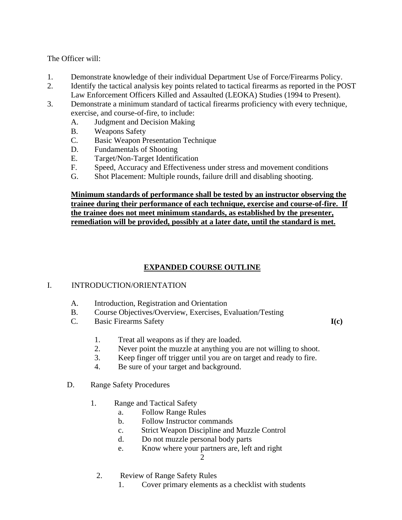The Officer will:

- 1. Demonstrate knowledge of their individual Department Use of Force/Firearms Policy.
- 2. Identify the tactical analysis key points related to tactical firearms as reported in the POST Law Enforcement Officers Killed and Assaulted (LEOKA) Studies (1994 to Present).
- 3. Demonstrate a minimum standard of tactical firearms proficiency with every technique, exercise, and course-of-fire, to include:
	- A. Judgment and Decision Making
	- B. Weapons Safety
	- C. Basic Weapon Presentation Technique
	- D. Fundamentals of Shooting
	- E. Target/Non-Target Identification
	- F. Speed, Accuracy and Effectiveness under stress and movement conditions
	- G. Shot Placement: Multiple rounds, failure drill and disabling shooting.

**Minimum standards of performance shall be tested by an instructor observing the trainee during their performance of each technique, exercise and course-of-fire. If the trainee does not meet minimum standards, as established by the presenter, remediation will be provided, possibly at a later date, until the standard is met.**

### **EXPANDED COURSE OUTLINE**

### I. INTRODUCTION/ORIENTATION

- A. Introduction, Registration and Orientation
- B. Course Objectives/Overview, Exercises, Evaluation/Testing
- C. Basic Firearms Safety **I(c)**

- 1. Treat all weapons as if they are loaded.
- 2. Never point the muzzle at anything you are not willing to shoot.
- 3. Keep finger off trigger until you are on target and ready to fire.
- 4. Be sure of your target and background.
- D. Range Safety Procedures
	- 1. Range and Tactical Safety
		- a. Follow Range Rules
		- b. Follow Instructor commands
		- c. Strict Weapon Discipline and Muzzle Control
		- d. Do not muzzle personal body parts
		- e. Know where your partners are, left and right

2

- 2. Review of Range Safety Rules
	- 1. Cover primary elements as a checklist with students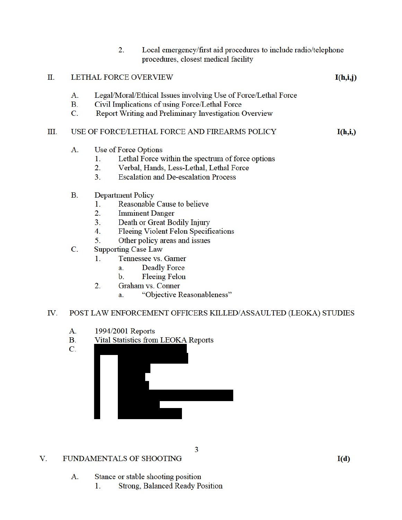| Local emergency/first aid procedures to include radio/telephone |
|-----------------------------------------------------------------|
| procedures, closest medical facility                            |

### П. LETHAL FORCE OVERVIEW

 $I(h,i,j)$ 

- Legal/Moral/Ethical Issues involving Use of Force/Lethal Force A.
- Civil Implications of using Force/Lethal Force **B.**
- $\mathbf{C}$ . Report Writing and Preliminary Investigation Overview

### Ш. USE OF FORCE/LETHAL FORCE AND FIREARMS POLICY  $I(h,i,)$

- $\mathbf{A}$ . Use of Force Options
	- Lethal Force within the spectrum of force options  $1.$
	- Verbal, Hands, Less-Lethal, Lethal Force  $2.$
	- $3<sub>1</sub>$ **Escalation and De-escalation Process**
- **B. Department Policy** 
	- Reasonable Cause to believe 1.
	- $2.$ **Imminent Danger**
	- Death or Great Bodily Injury  $3<sub>1</sub>$
	- **Fleeing Violent Felon Specifications**  $\overline{4}$ .
	- 5. Other policy areas and issues
- C. **Supporting Case Law** 
	- Tennessee vs. Garner  $1.$ 
		- **Deadly Force**  $\mathbf{a}$ .
		- **Fleeing Felon**  $\mathbf{b}$
	- $2.$ Graham vs. Conner
		- "Objective Reasonableness" a.

### IV. POST LAW ENFORCEMENT OFFICERS KILLED/ASSAULTED (LEOKA) STUDIES

3

- 1994/2001 Reports A.
- **B. Vital Statistics from LEOKA Reports**
- C.



### $V_{\cdot}$ FUNDAMENTALS OF SHOOTING

 $I(d)$ 

- A. Stance or stable shooting position
	- **Strong, Balanced Ready Position**  $1.$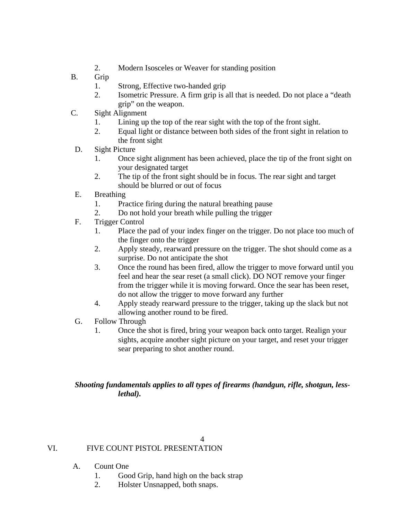- 2. Modern Isosceles or Weaver for standing position
- B. Grip
	- 1. Strong, Effective two-handed grip
	- 2. Isometric Pressure. A firm grip is all that is needed. Do not place a "death grip" on the weapon.
- C. Sight Alignment
	- 1. Lining up the top of the rear sight with the top of the front sight.
	- 2. Equal light or distance between both sides of the front sight in relation to the front sight
- D. Sight Picture
	- 1. Once sight alignment has been achieved, place the tip of the front sight on your designated target
	- 2. The tip of the front sight should be in focus. The rear sight and target should be blurred or out of focus
- E. Breathing
	- 1. Practice firing during the natural breathing pause
	- 2. Do not hold your breath while pulling the trigger
- F. Trigger Control
	- 1. Place the pad of your index finger on the trigger. Do not place too much of the finger onto the trigger
	- 2. Apply steady, rearward pressure on the trigger. The shot should come as a surprise. Do not anticipate the shot
	- 3. Once the round has been fired, allow the trigger to move forward until you feel and hear the sear reset (a small click). DO NOT remove your finger from the trigger while it is moving forward. Once the sear has been reset, do not allow the trigger to move forward any further
	- 4. Apply steady rearward pressure to the trigger, taking up the slack but not allowing another round to be fired.
- G. Follow Through
	- 1. Once the shot is fired, bring your weapon back onto target. Realign your sights, acquire another sight picture on your target, and reset your trigger sear preparing to shot another round.

### *Shooting fundamentals applies to all types of firearms (handgun, rifle, shotgun, lesslethal).*

## 4

## VI. FIVE COUNT PISTOL PRESENTATION

- A. Count One
	- 1. Good Grip, hand high on the back strap
	- 2. Holster Unsnapped, both snaps.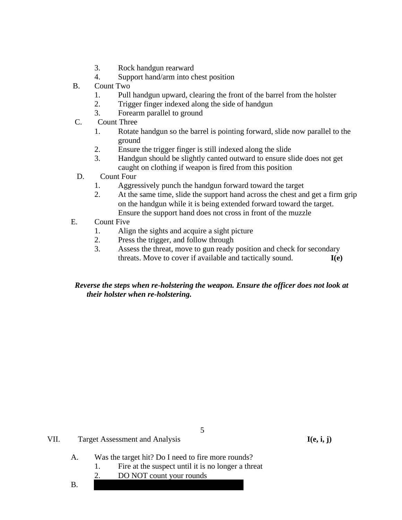- 3. Rock handgun rearward
- 4. Support hand/arm into chest position
- B. Count Two
	- 1. Pull handgun upward, clearing the front of the barrel from the holster
	- 2. Trigger finger indexed along the side of handgun
	- 3. Forearm parallel to ground
- C. Count Three
	- 1. Rotate handgun so the barrel is pointing forward, slide now parallel to the ground
	- 2. Ensure the trigger finger is still indexed along the slide
	- 3. Handgun should be slightly canted outward to ensure slide does not get caught on clothing if weapon is fired from this position
- D. Count Four
	- 1. Aggressively punch the handgun forward toward the target
	- 2. At the same time, slide the support hand across the chest and get a firm grip on the handgun while it is being extended forward toward the target. Ensure the support hand does not cross in front of the muzzle
- E. Count Five
	- 1. Align the sights and acquire a sight picture
	- 2. Press the trigger, and follow through
	- 3. Assess the threat, move to gun ready position and check for secondary threats. Move to cover if available and tactically sound. **I(e)**

### *Reverse the steps when re-holstering the weapon. Ensure the officer does not look at their holster when re-holstering.*

5

### VII. Target Assessment and Analysis **I(e, i, j)**

- A. Was the target hit? Do I need to fire more rounds?
	- 1. Fire at the suspect until it is no longer a threat
	- 2. DO NOT count your rounds

B.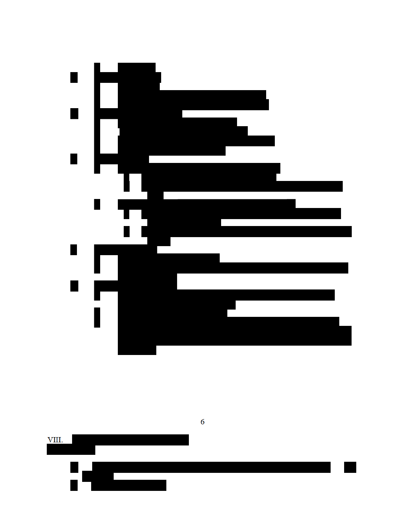



 $\overline{6}$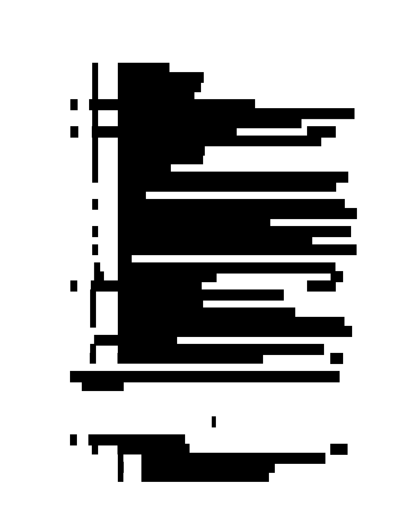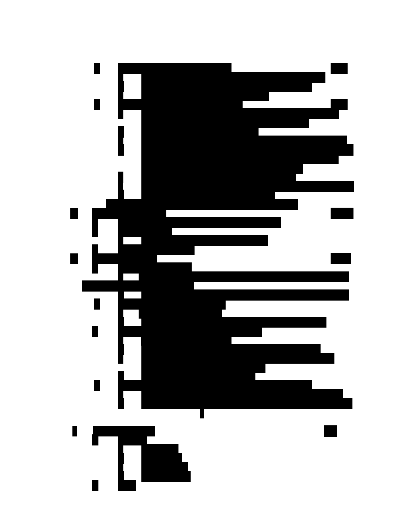